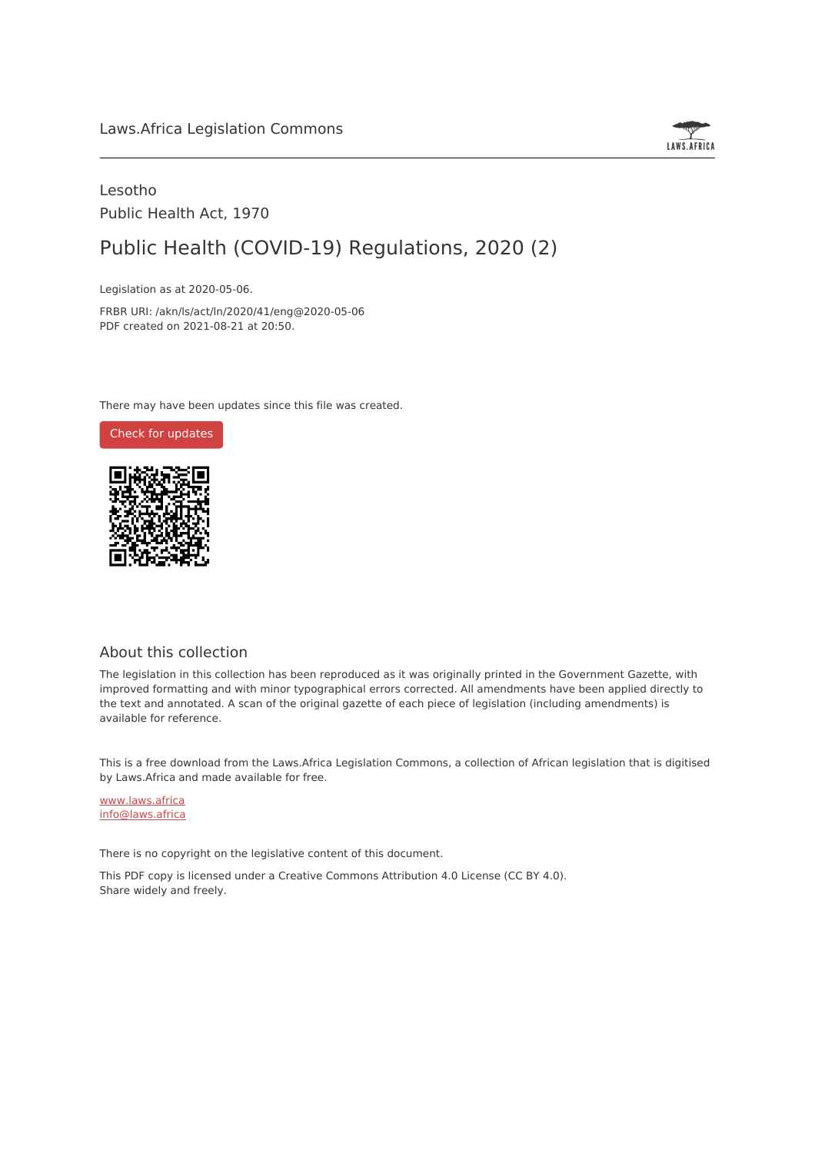

## Lesotho Public Health Act, 1970

# Public Health (COVID-19) Regulations, 2020 (2)

Legislation as at 2020-05-06.

FRBR URI: /akn/ls/act/ln/2020/41/eng@2020-05-06 PDF created on 2021-08-21 at 20:50.

There may have been updates since this file was created.



#### About this collection

The legislation in this collection has been reproduced as it was originally printed in the Government Gazette, with improved formatting and with minor typographical errors corrected. All amendments have been applied directly to the text and annotated. A scan of the original gazette of each piece of legislation (including amendments) is available for reference.

This is a free download from the Laws.Africa Legislation Commons, a collection of African legislation that is digitised by Laws.Africa and made available for free.

[www.laws.africa](https://www.laws.africa) [info@laws.africa](mailto:info@laws.africa)

There is no copyright on the legislative content of this document.

This PDF copy is licensed under a Creative Commons Attribution 4.0 License (CC BY 4.0). Share widely and freely.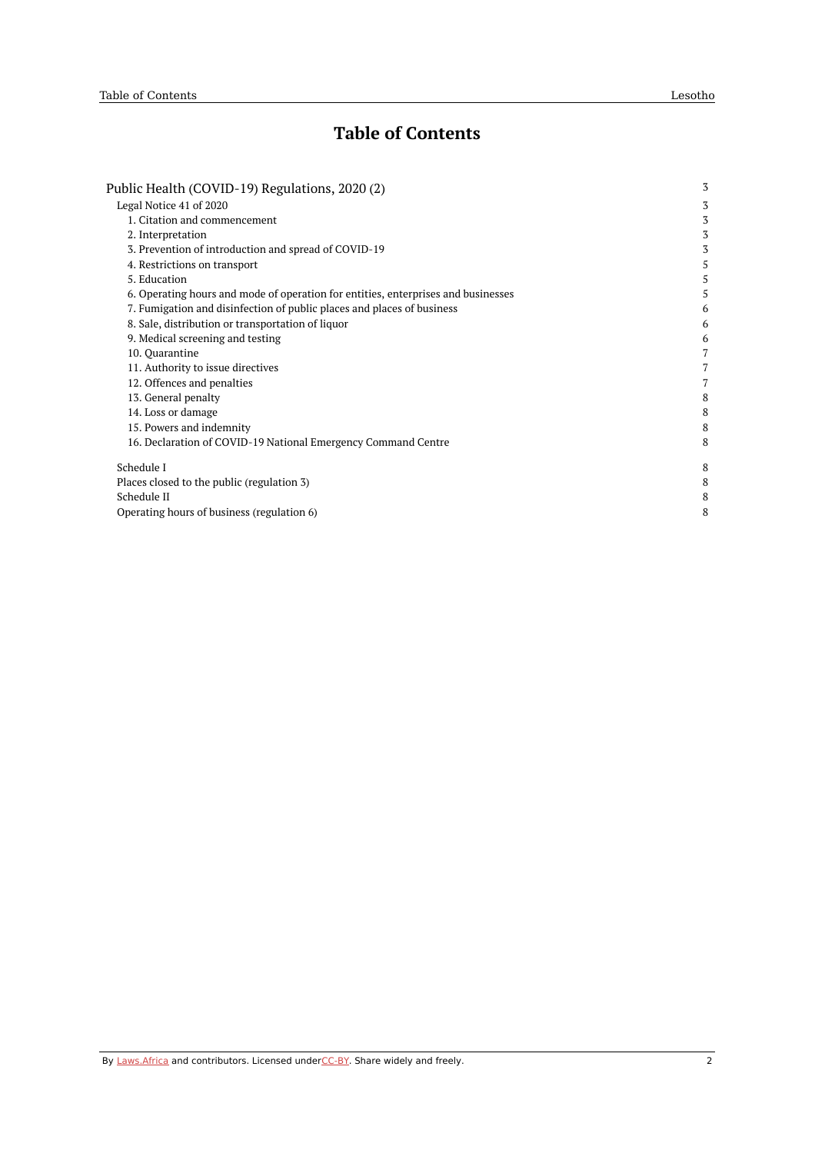## **Table of Contents**

| Public Health (COVID-19) Regulations, 2020 (2)                                    |   |  |
|-----------------------------------------------------------------------------------|---|--|
| Legal Notice 41 of 2020                                                           | 3 |  |
| 1. Citation and commencement                                                      | 3 |  |
| 2. Interpretation                                                                 | 3 |  |
| 3. Prevention of introduction and spread of COVID-19                              | 3 |  |
| 4. Restrictions on transport                                                      | 5 |  |
| 5. Education                                                                      | 5 |  |
| 6. Operating hours and mode of operation for entities, enterprises and businesses | 5 |  |
| 7. Fumigation and disinfection of public places and places of business            | 6 |  |
| 8. Sale, distribution or transportation of liquor                                 | 6 |  |
| 9. Medical screening and testing                                                  | 6 |  |
| 10. Ouarantine                                                                    | 7 |  |
| 11. Authority to issue directives                                                 | 7 |  |
| 12. Offences and penalties                                                        |   |  |
| 13. General penalty                                                               | 8 |  |
| 14. Loss or damage                                                                | 8 |  |
| 15. Powers and indemnity                                                          | 8 |  |
| 16. Declaration of COVID-19 National Emergency Command Centre                     | 8 |  |
| Schedule I                                                                        | 8 |  |
| Places closed to the public (regulation 3)                                        | 8 |  |
| Schedule II                                                                       | 8 |  |
| Operating hours of business (regulation 6)                                        | 8 |  |
|                                                                                   |   |  |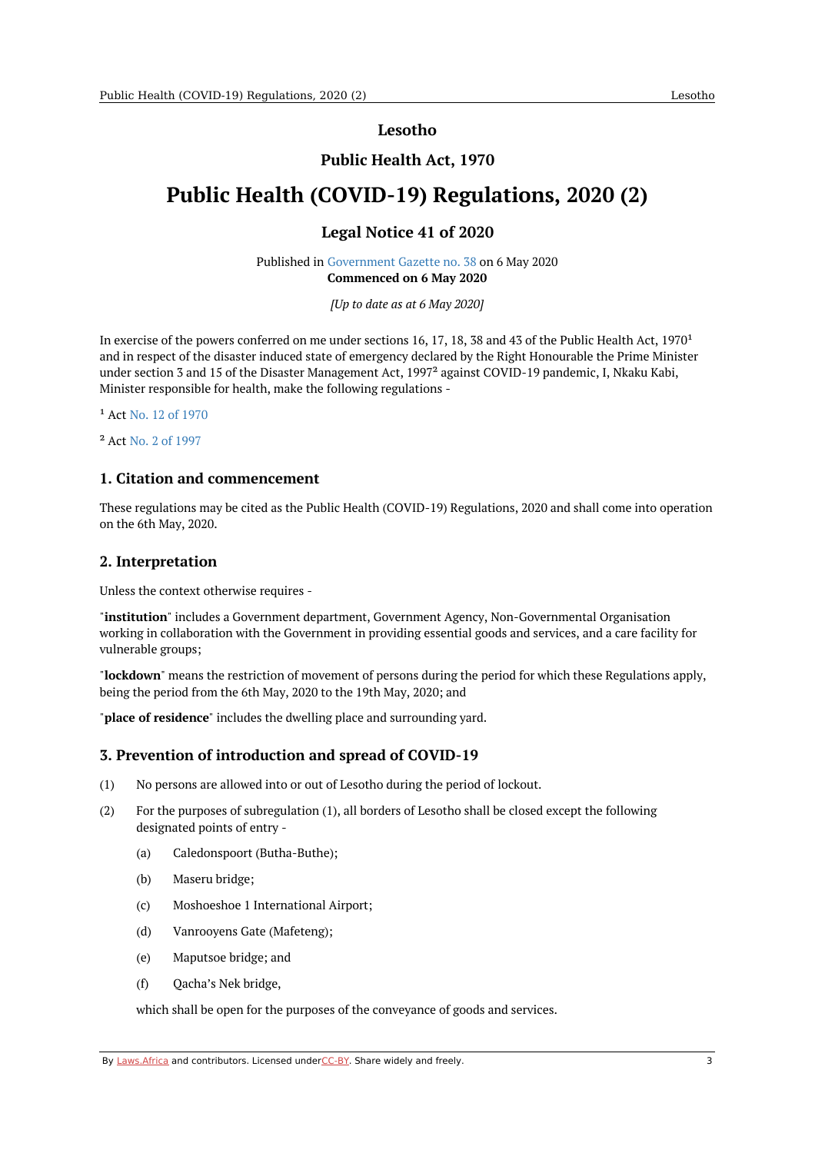**Lesotho**

## **Public Health Act, 1970**

# <span id="page-2-1"></span><span id="page-2-0"></span>**Public Health (COVID-19) Regulations, 2020 (2)**

## **Legal Notice 41 of 2020**

Published in [Government](https://commons.laws.africa/akn/ls/act/ln/2020/41/media/publication/ls-act-ln-2020-41-publication-document.pdf) Gazette no. 38 on 6 May 2020 **Commenced on 6 May 2020**

*[Up to date as at 6 May 2020]*

In exercise of the powers conferred on me under sections 16, 17, 18, 38 and 43 of the Public Health Act,  $1970<sup>1</sup>$ and in respect of the disaster induced state of emergency declared by the Right Honourable the Prime Minister under section 3 and 15 of the Disaster Management Act, 1997² against COVID-19 pandemic, I, Nkaku Kabi, Minister responsible for health, make the following regulations -

<sup>1</sup> Act No. 12 of [1970](https://africanlii.org/akn/ls/act/1970/22)

² Act No. 2 of [1997](https://africanlii.org/akn/ls/act/1997/2)

#### <span id="page-2-2"></span>**1. Citation and commencement**

These regulations may be cited as the Public Health (COVID-19) Regulations, 2020 and shall come into operation on the 6th May, 2020.

#### <span id="page-2-3"></span>**2. Interpretation**

Unless the context otherwise requires -

"**institution**" includes a Government department, Government Agency, Non-Governmental Organisation working in collaboration with the Government in providing essential goods and services, and a care facility for vulnerable groups;

"**lockdown**" means the restriction of movement of persons during the period for which these Regulations apply, being the period from the 6th May, 2020 to the 19th May, 2020; and

"**place of residence**" includes the dwelling place and surrounding yard.

#### <span id="page-2-4"></span>**3. Prevention of introduction and spread of COVID-19**

- (1) No persons are allowed into or out of Lesotho during the period of lockout.
- (2) For the purposes of subregulation (1), all borders of Lesotho shall be closed except the following designated points of entry -
	- (a) Caledonspoort (Butha-Buthe);
	- (b) Maseru bridge;
	- (c) Moshoeshoe 1 International Airport;
	- (d) Vanrooyens Gate (Mafeteng);
	- (e) Maputsoe bridge; and
	- (f) Qacha's Nek bridge,

which shall be open for the purposes of the conveyance of goods and services.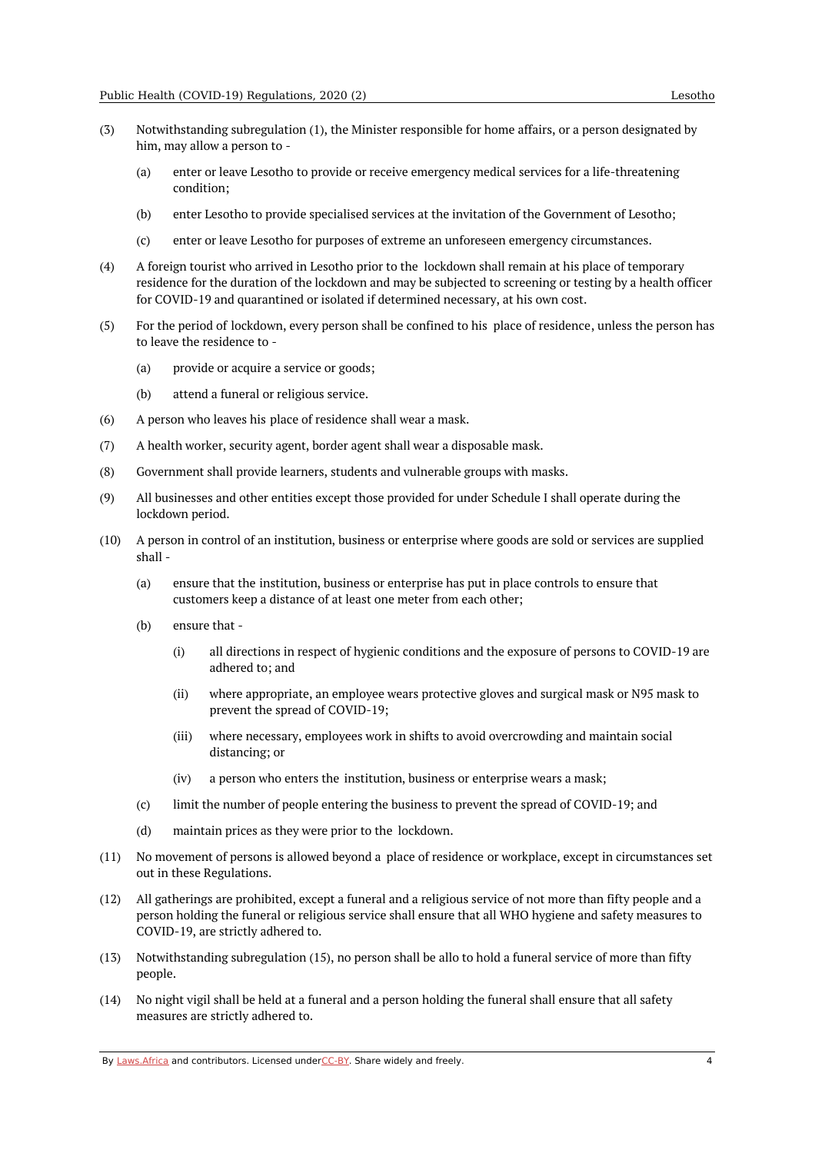- (3) Notwithstanding subregulation (1), the Minister responsible for home affairs, or a person designated by him, may allow a person to -
	- (a) enter or leave Lesotho to provide or receive emergency medical services for a life-threatening condition;
	- (b) enter Lesotho to provide specialised services at the invitation of the Government of Lesotho;
	- (c) enter or leave Lesotho for purposes of extreme an unforeseen emergency circumstances.
- (4) A foreign tourist who arrived in Lesotho prior to the lockdown shall remain at his place of temporary residence for the duration of the lockdown and may be subjected to screening or testing by a health officer for COVID-19 and quarantined or isolated if determined necessary, at his own cost.
- (5) For the period of lockdown, every person shall be confined to his place of residence, unless the person has to leave the residence to -
	- (a) provide or acquire a service or goods;
	- (b) attend a funeral or religious service.
- (6) A person who leaves his place of residence shall wear a mask.
- (7) A health worker, security agent, border agent shall wear a disposable mask.
- (8) Government shall provide learners, students and vulnerable groups with masks.
- (9) All businesses and other entities except those provided for under Schedule I shall operate during the lockdown period.
- (10) A person in control of an institution, business or enterprise where goods are sold or services are supplied shall -
	- (a) ensure that the institution, business or enterprise has put in place controls to ensure that customers keep a distance of at least one meter from each other;
	- (b) ensure that -
		- (i) all directions in respect of hygienic conditions and the exposure of persons to COVID-19 are adhered to; and
		- (ii) where appropriate, an employee wears protective gloves and surgical mask or N95 mask to prevent the spread of COVID-19;
		- (iii) where necessary, employees work in shifts to avoid overcrowding and maintain social distancing; or
		- (iv) a person who enters the institution, business or enterprise wears a mask;
	- (c) limit the number of people entering the business to prevent the spread of COVID-19; and
	- (d) maintain prices as they were prior to the lockdown.
- (11) No movement of persons is allowed beyond a place of residence or workplace, except in circumstances set out in these Regulations.
- (12) All gatherings are prohibited, except a funeral and a religious service of not more than fifty people and a person holding the funeral or religious service shall ensure that all WHO hygiene and safety measures to COVID-19, are strictly adhered to.
- (13) Notwithstanding subregulation (15), no person shall be allo to hold a funeral service of more than fifty people.
- $(14)$ No night vigil shall be held at a funeral and a person holding the funeral shall ensure that all safety measures are strictly adhered to.

By [Laws.Africa](https://edit.laws.africa/widgets/pdf-attribution) and contributors. Licensed und[erCC-B](https://edit.laws.africa/widgets/pdf-cc-by)Y. Share widely and freely. 4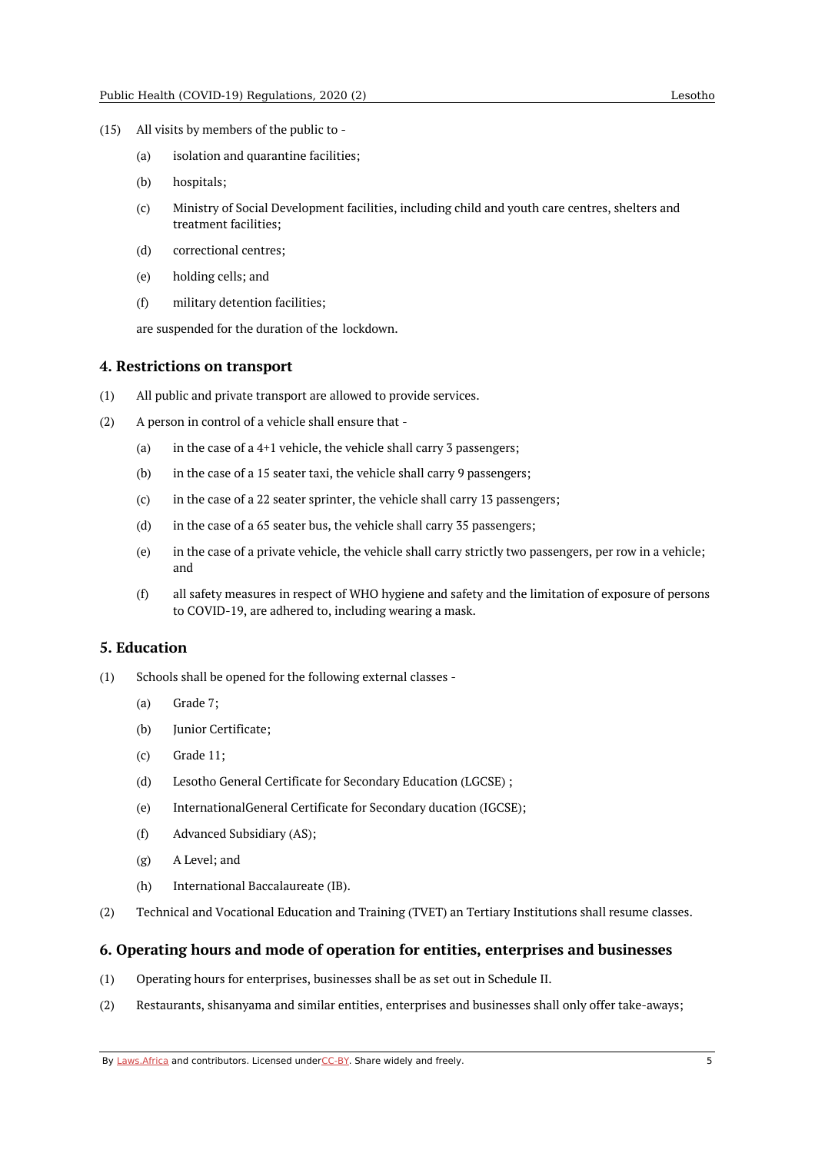- (15) All visits by members of the public to
	- (a) isolation and quarantine facilities;
	- (b) hospitals;
	- (c) Ministry of Social Development facilities, including child and youth care centres, shelters and treatment facilities;
	- (d) correctional centres;
	- (e) holding cells; and
	- (f) military detention facilities;

are suspended for the duration of the lockdown.

#### <span id="page-4-0"></span>**4. Restrictions on transport**

- (1) All public and private transport are allowed to provide services.
- (2) A person in control of a vehicle shall ensure that -
	- (a) in the case of a 4+1 vehicle, the vehicle shall carry 3 passengers;
	- (b) in the case of a 15 seater taxi, the vehicle shall carry 9 passengers;
	- (c) in the case of a 22 seater sprinter, the vehicle shall carry 13 passengers;
	- (d) in the case of a 65 seater bus, the vehicle shall carry 35 passengers;
	- (e) in the case of a private vehicle, the vehicle shall carry strictly two passengers, per row in a vehicle; and
	- (f) all safety measures in respect of WHO hygiene and safety and the limitation of exposure of persons to COVID-19, are adhered to, including wearing a mask.

#### <span id="page-4-1"></span>**5. Education**

- (1) Schools shall be opened for the following external classes -
	- (a) Grade 7;
	- (b) Junior Certificate;
	- (c) Grade 11;
	- (d) Lesotho General Certificate for Secondary Education (LGCSE) ;
	- (e) InternationalGeneral Certificate for Secondary ducation (IGCSE);
	- (f) Advanced Subsidiary (AS);
	- (g) A Level; and
	- (h) International Baccalaureate (IB).
- (2) Technical and Vocational Education and Training (TVET) an Tertiary Institutions shall resume classes.

#### <span id="page-4-2"></span>**6. Operating hours and mode of operation for entities, enterprises and businesses**

- (1) Operating hours for enterprises, businesses shall be as set out in Schedule II.
- (2) Restaurants, shisanyama and similar entities, enterprises and businesses shall only offer take-aways;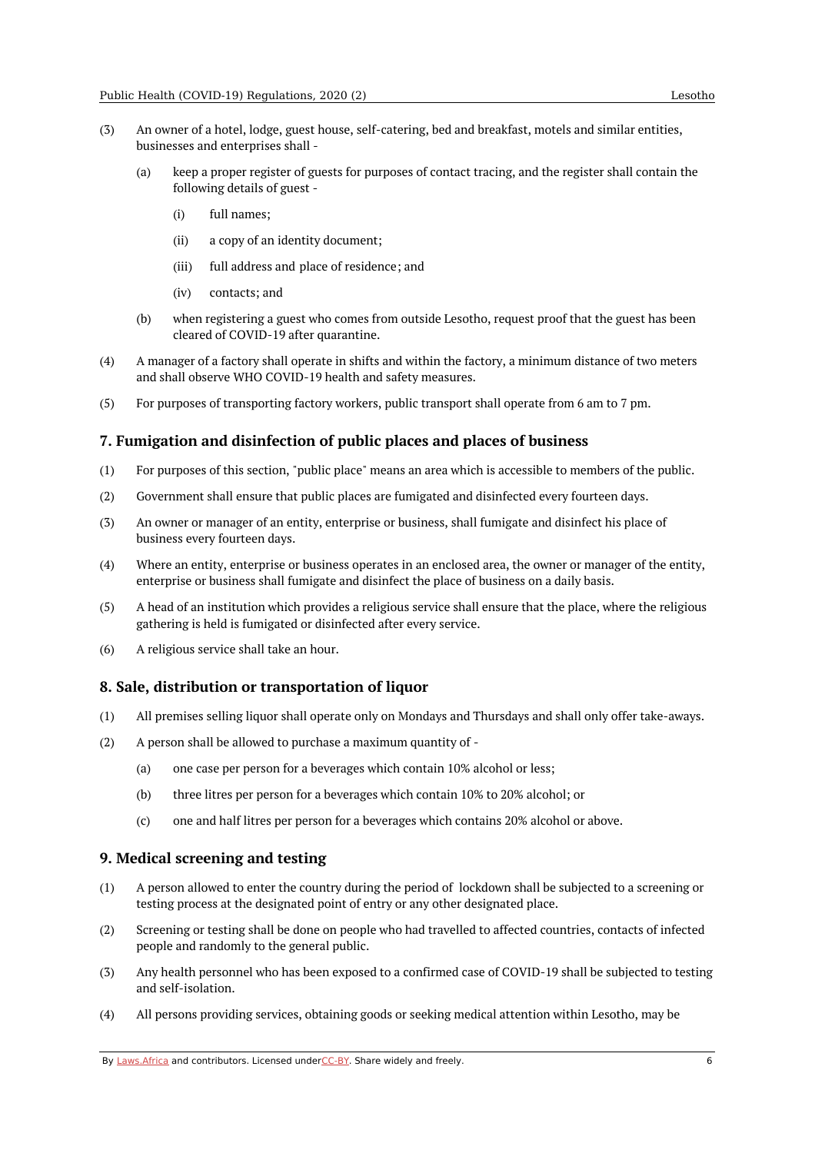- (3) An owner of a hotel, lodge, guest house, self-catering, bed and breakfast, motels and similar entities, businesses and enterprises shall -
	- (a) keep a proper register of guests for purposes of contact tracing, and the register shall contain the following details of guest -
		- (i) full names;
		- (ii) a copy of an identity document;
		- (iii) full address and place of residence; and
		- (iv) contacts; and
	- (b) when registering a guest who comes from outside Lesotho, request proof that the guest has been cleared of COVID-19 after quarantine.
- (4) A manager of a factory shall operate in shifts and within the factory, a minimum distance of two meters and shall observe WHO COVID-19 health and safety measures.
- (5) For purposes of transporting factory workers, public transport shall operate from 6 am to 7 pm.

#### <span id="page-5-0"></span>**7. Fumigation and disinfection of public places and places of business**

- (1) For purposes of this section, "public place" means an area which is accessible to members of the public.
- (2) Government shall ensure that public places are fumigated and disinfected every fourteen days.
- (3) An owner or manager of an entity, enterprise or business, shall fumigate and disinfect his place of business every fourteen days.
- (4) Where an entity, enterprise or business operates in an enclosed area, the owner or manager of the entity, enterprise or business shall fumigate and disinfect the place of business on a daily basis.
- (5) A head of an institution which provides a religious service shall ensure that the place, where the religious gathering is held is fumigated or disinfected after every service.
- (6) A religious service shall take an hour.

#### <span id="page-5-1"></span>**8. Sale, distribution or transportation of liquor**

- (1) All premises selling liquor shall operate only on Mondays and Thursdays and shall only offer take-aways.
- (2) A person shall be allowed to purchase a maximum quantity of -
	- (a) one case per person for a beverages which contain 10% alcohol or less;
	- (b) three litres per person for a beverages which contain 10% to 20% alcohol; or
	- (c) one and half litres per person for a beverages which contains 20% alcohol or above.

#### <span id="page-5-2"></span>**9. Medical screening and testing**

- (1) A person allowed to enter the country during the period of lockdown shall be subjected to a screening or testing process at the designated point of entry or any other designated place.
- (2) Screening or testing shall be done on people who had travelled to affected countries, contacts of infected people and randomly to the general public.
- (3) Any health personnel who has been exposed to a confirmed case of COVID-19 shall be subjected to testing and self-isolation.
- (4) All persons providing services, obtaining goods or seeking medical attention within Lesotho, may be

By [Laws.Africa](https://edit.laws.africa/widgets/pdf-attribution) and contributors. Licensed und[erCC-B](https://edit.laws.africa/widgets/pdf-cc-by)Y. Share widely and freely. 6 6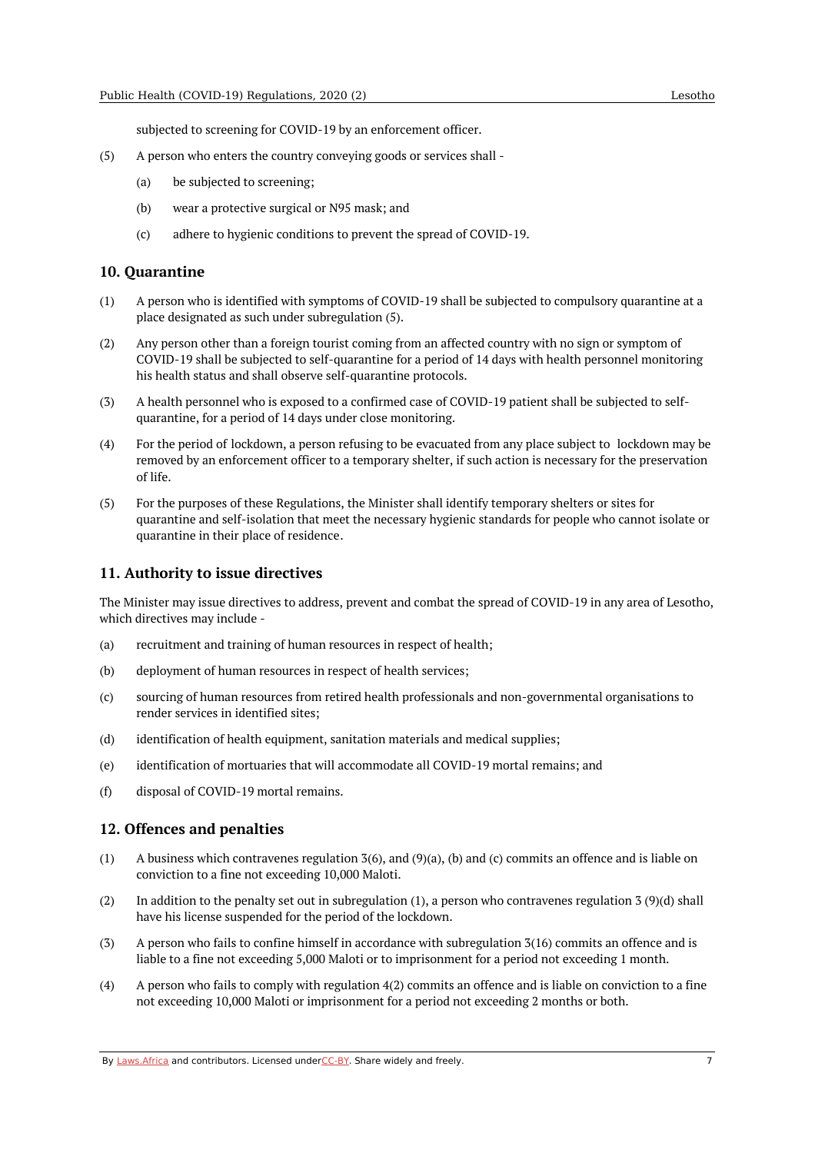subjected to screening for COVID-19 by an enforcement officer.

- (5) A person who enters the country conveying goods or services shall -
	- (a) be subjected to screening;
	- (b) wear a protective surgical or N95 mask; and
	- $(c)$ adhere to hygienic conditions to prevent the spread of COVID-19.

#### <span id="page-6-0"></span>**10. Quarantine**

- (1) A person who is identified with symptoms of COVID-19 shall be subjected to compulsory quarantine at a place designated as such under subregulation (5).
- (2) Any person other than a foreign tourist coming from an affected country with no sign or symptom of COVID-19 shall be subjected to self-quarantine for a period of 14 days with health personnel monitoring his health status and shall observe self-quarantine protocols.
- (3) A health personnel who is exposed to a confirmed case of COVID-19 patient shall be subjected to selfquarantine, for a period of 14 days under close monitoring.
- (4) For the period of lockdown, a person refusing to be evacuated from any place subject to lockdown may be removed by an enforcement officer to a temporary shelter, if such action is necessary for the preservation of life.
- (5) For the purposes of these Regulations, the Minister shall identify temporary shelters or sites for quarantine and self-isolation that meet the necessary hygienic standards for people who cannot isolate or quarantine in their place of residence.

#### <span id="page-6-1"></span>**11. Authority to issue directives**

The Minister may issue directives to address, prevent and combat the spread of COVID-19 in any area of Lesotho, which directives may include -

- (a) recruitment and training of human resources in respect of health;
- (b) deployment of human resources in respect of health services;
- (c) sourcing of human resources from retired health professionals and non-governmental organisations to render services in identified sites;
- (d) identification of health equipment, sanitation materials and medical supplies;
- (e) identification of mortuaries that will accommodate all COVID-19 mortal remains; and
- $(f)$ disposal of COVID-19 mortal remains.

#### <span id="page-6-2"></span>**12. Offences and penalties**

- (1) A business which contravenes regulation 3(6), and (9)(a), (b) and (c) commits an offence and is liable on conviction to a fine not exceeding 10,000 Maloti.
- (2) In addition to the penalty set out in subregulation (1), a person who contravenes regulation 3 (9)(d) shall have his license suspended for the period of the lockdown.
- (3) A person who fails to confine himself in accordance with subregulation 3(16) commits an offence and is liable to a fine not exceeding 5,000 Maloti or to imprisonment for a period not exceeding 1 month.
- (4) A person who fails to comply with regulation 4(2) commits an offence and is liable on conviction to a fine not exceeding 10,000 Maloti or imprisonment for a period not exceeding 2 months or both.

By [Laws.Africa](https://edit.laws.africa/widgets/pdf-attribution) and contributors. Licensed und[erCC-B](https://edit.laws.africa/widgets/pdf-cc-by)Y. Share widely and freely. 7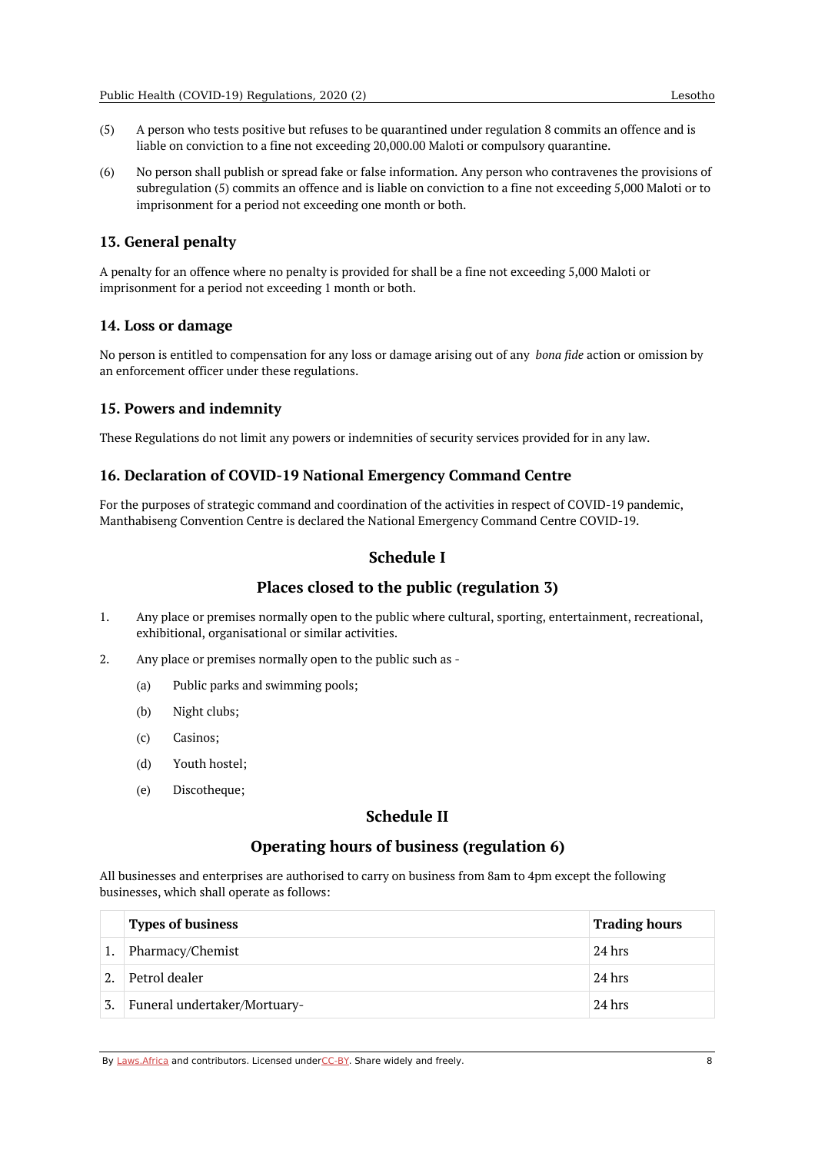- (5) A person who tests positive but refuses to be quarantined under regulation 8 commits an offence and is liable on conviction to a fine not exceeding 20,000.00 Maloti or compulsory quarantine.
- (6) No person shall publish or spread fake or false information. Any person who contravenes the provisions of subregulation (5) commits an offence and is liable on conviction to a fine not exceeding 5,000 Maloti or to imprisonment for a period not exceeding one month or both.

#### <span id="page-7-0"></span>**13. General penalty**

A penalty for an offence where no penalty is provided for shall be a fine not exceeding 5,000 Maloti or imprisonment for a period not exceeding 1 month or both.

#### <span id="page-7-1"></span>**14. Loss or damage**

No person is entitled to compensation for any loss or damage arising out of any *bona fide* action or omission by an enforcement officer under these regulations.

#### <span id="page-7-2"></span>**15. Powers and indemnity**

These Regulations do not limit any powers or indemnities of security services provided for in any law.

#### <span id="page-7-3"></span>**16. Declaration of COVID-19 National Emergency Command Centre**

<span id="page-7-4"></span>For the purposes of strategic command and coordination of the activities in respect of COVID-19 pandemic, Manthabiseng Convention Centre is declared the National Emergency Command Centre COVID-19.

## **Schedule I**

## **Places closed to the public (regulation 3)**

- <span id="page-7-5"></span>1. Any place or premises normally open to the public where cultural, sporting, entertainment, recreational, exhibitional, organisational or similar activities.
- 2. Any place or premises normally open to the public such as -
	- (a) Public parks and swimming pools;
	- (b) Night clubs;
	- (c) Casinos;
	- (d) Youth hostel;
	- (e) Discotheque;

## **Schedule II**

## **Operating hours of business (regulation 6)**

<span id="page-7-7"></span><span id="page-7-6"></span>All businesses and enterprises are authorised to carry on business from 8am to 4pm except the following businesses, which shall operate as follows:

|    | <b>Types of business</b>     | <b>Trading hours</b> |
|----|------------------------------|----------------------|
|    | Pharmacy/Chemist             | 24 hrs               |
|    | Petrol dealer                | 24 hrs               |
| 3. | Funeral undertaker/Mortuary- | $24$ hrs             |